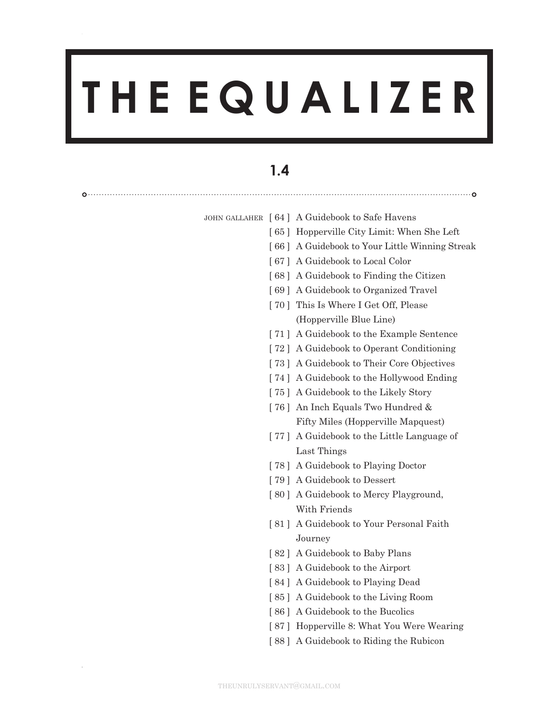# **T H E E Q U A L I Z E R**

## **1.4**

|  | JOHN GALLAHER [ 64 ] A Guidebook to Safe Havens |
|--|-------------------------------------------------|
|  | [65] Hopperville City Limit: When She Left      |
|  | [66] A Guidebook to Your Little Winning Streak  |
|  | [67] A Guidebook to Local Color                 |
|  | [68] A Guidebook to Finding the Citizen         |
|  | [69] A Guidebook to Organized Travel            |
|  | [70] This Is Where I Get Off, Please            |
|  | (Hopperville Blue Line)                         |
|  | [71] A Guidebook to the Example Sentence        |
|  | [72] A Guidebook to Operant Conditioning        |
|  | [73] A Guidebook to Their Core Objectives       |
|  | [74] A Guidebook to the Hollywood Ending        |
|  | [75] A Guidebook to the Likely Story            |
|  | [76] An Inch Equals Two Hundred &               |
|  | Fifty Miles (Hopperville Mapquest)              |
|  | [77] A Guidebook to the Little Language of      |
|  | Last Things                                     |
|  | [78] A Guidebook to Playing Doctor              |
|  | [79] A Guidebook to Dessert                     |
|  | [80] A Guidebook to Mercy Playground,           |
|  | With Friends                                    |
|  | [81] A Guidebook to Your Personal Faith         |
|  | Journey                                         |
|  | [82] A Guidebook to Baby Plans                  |
|  | [83] A Guidebook to the Airport                 |
|  | [84] A Guidebook to Playing Dead                |
|  | [85] A Guidebook to the Living Room             |
|  | [86] A Guidebook to the Bucolics                |
|  | [87] Hopperville 8: What You Were Wearing       |
|  | [88] A Guidebook to Riding the Rubicon          |
|  |                                                 |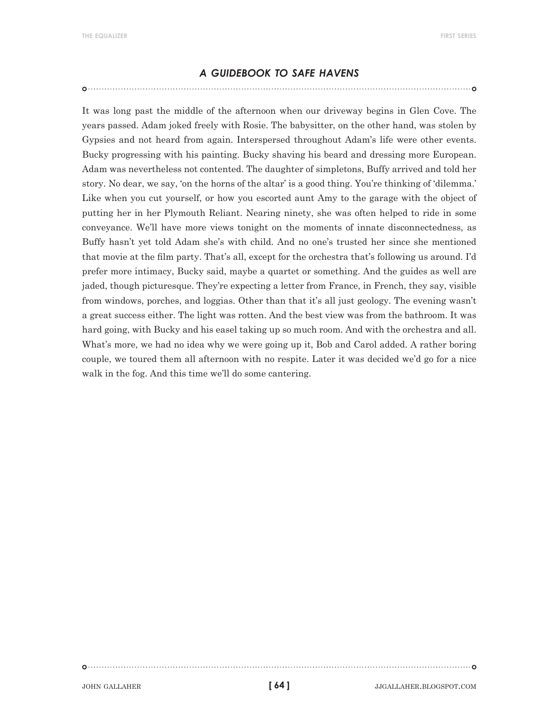#### *a guidebook to safe havens*

It was long past the middle of the afternoon when our driveway begins in Glen Cove. The years passed. Adam joked freely with Rosie. The babysitter, on the other hand, was stolen by Gypsies and not heard from again. Interspersed throughout Adam's life were other events. Bucky progressing with his painting. Bucky shaving his beard and dressing more European. Adam was nevertheless not contented. The daughter of simpletons, Buffy arrived and told her story. No dear, we say, 'on the horns of the altar' is a good thing. You're thinking of 'dilemma.' Like when you cut yourself, or how you escorted aunt Amy to the garage with the object of putting her in her Plymouth Reliant. Nearing ninety, she was often helped to ride in some conveyance. We'll have more views tonight on the moments of innate disconnectedness, as Buffy hasn't yet told Adam she's with child. And no one's trusted her since she mentioned that movie at the film party. That's all, except for the orchestra that's following us around. I'd prefer more intimacy, Bucky said, maybe a quartet or something. And the guides as well are jaded, though picturesque. They're expecting a letter from France, in French, they say, visible from windows, porches, and loggias. Other than that it's all just geology. The evening wasn't a great success either. The light was rotten. And the best view was from the bathroom. It was hard going, with Bucky and his easel taking up so much room. And with the orchestra and all. What's more, we had no idea why we were going up it, Bob and Carol added. A rather boring couple, we toured them all afternoon with no respite. Later it was decided we'd go for a nice walk in the fog. And this time we'll do some cantering.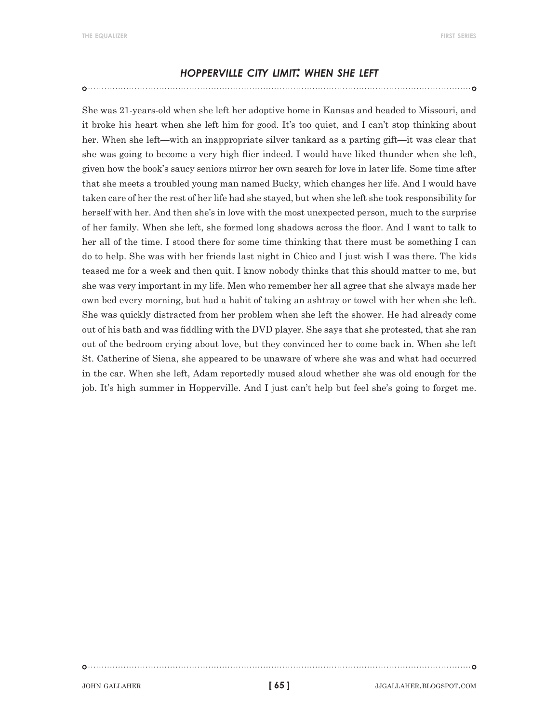#### *hopperville city limit: when she left*

She was 21-years-old when she left her adoptive home in Kansas and headed to Missouri, and it broke his heart when she left him for good. It's too quiet, and I can't stop thinking about her. When she left—with an inappropriate silver tankard as a parting gift—it was clear that she was going to become a very high flier indeed. I would have liked thunder when she left, given how the book's saucy seniors mirror her own search for love in later life. Some time after that she meets a troubled young man named Bucky, which changes her life. And I would have taken care of her the rest of her life had she stayed, but when she left she took responsibility for herself with her. And then she's in love with the most unexpected person, much to the surprise of her family. When she left, she formed long shadows across the floor. And I want to talk to her all of the time. I stood there for some time thinking that there must be something I can do to help. She was with her friends last night in Chico and I just wish I was there. The kids teased me for a week and then quit. I know nobody thinks that this should matter to me, but she was very important in my life. Men who remember her all agree that she always made her own bed every morning, but had a habit of taking an ashtray or towel with her when she left. She was quickly distracted from her problem when she left the shower. He had already come out of his bath and was fiddling with the DVD player. She says that she protested, that she ran out of the bedroom crying about love, but they convinced her to come back in. When she left St. Catherine of Siena, she appeared to be unaware of where she was and what had occurred in the car. When she left, Adam reportedly mused aloud whether she was old enough for the job. It's high summer in Hopperville. And I just can't help but feel she's going to forget me.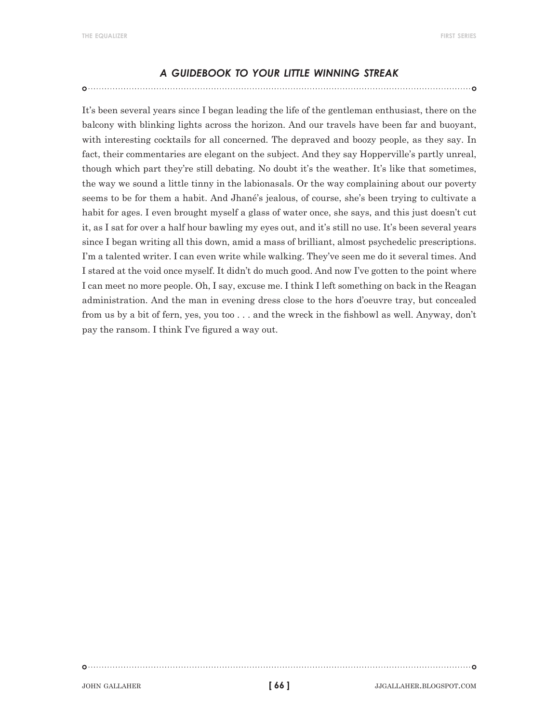#### *a guidebook to your little winning streak*

It's been several years since I began leading the life of the gentleman enthusiast, there on the balcony with blinking lights across the horizon. And our travels have been far and buoyant, with interesting cocktails for all concerned. The depraved and boozy people, as they say. In fact, their commentaries are elegant on the subject. And they say Hopperville's partly unreal, though which part they're still debating. No doubt it's the weather. It's like that sometimes, the way we sound a little tinny in the labionasals. Or the way complaining about our poverty seems to be for them a habit. And Jhané's jealous, of course, she's been trying to cultivate a habit for ages. I even brought myself a glass of water once, she says, and this just doesn't cut it, as I sat for over a half hour bawling my eyes out, and it's still no use. It's been several years since I began writing all this down, amid a mass of brilliant, almost psychedelic prescriptions. I'm a talented writer. I can even write while walking. They've seen me do it several times. And I stared at the void once myself. It didn't do much good. And now I've gotten to the point where I can meet no more people. Oh, I say, excuse me. I think I left something on back in the Reagan administration. And the man in evening dress close to the hors d'oeuvre tray, but concealed from us by a bit of fern, yes, you too . . . and the wreck in the fishbowl as well. Anyway, don't pay the ransom. I think I've figured a way out.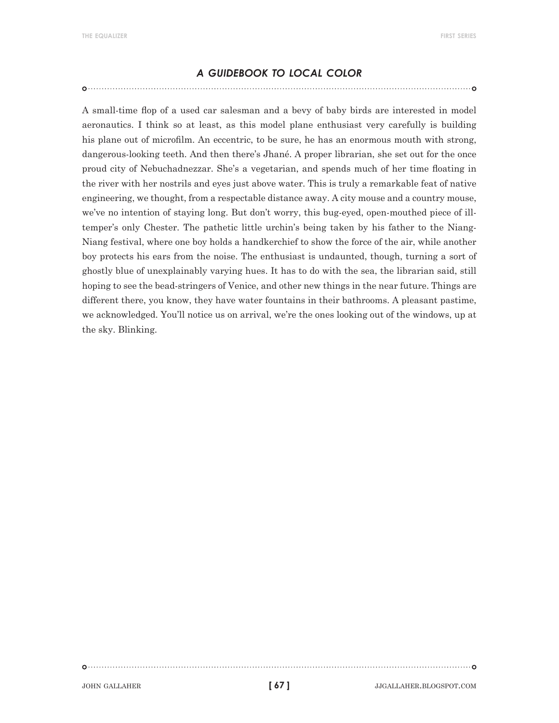#### *a guidebook to local color*

A small-time flop of a used car salesman and a bevy of baby birds are interested in model aeronautics. I think so at least, as this model plane enthusiast very carefully is building his plane out of microfilm. An eccentric, to be sure, he has an enormous mouth with strong, dangerous-looking teeth. And then there's Jhané. A proper librarian, she set out for the once proud city of Nebuchadnezzar. She's a vegetarian, and spends much of her time floating in the river with her nostrils and eyes just above water. This is truly a remarkable feat of native engineering, we thought, from a respectable distance away. A city mouse and a country mouse, we've no intention of staying long. But don't worry, this bug-eyed, open-mouthed piece of illtemper's only Chester. The pathetic little urchin's being taken by his father to the Niang-Niang festival, where one boy holds a handkerchief to show the force of the air, while another boy protects his ears from the noise. The enthusiast is undaunted, though, turning a sort of ghostly blue of unexplainably varying hues. It has to do with the sea, the librarian said, still hoping to see the bead-stringers of Venice, and other new things in the near future. Things are different there, you know, they have water fountains in their bathrooms. A pleasant pastime, we acknowledged. You'll notice us on arrival, we're the ones looking out of the windows, up at the sky. Blinking.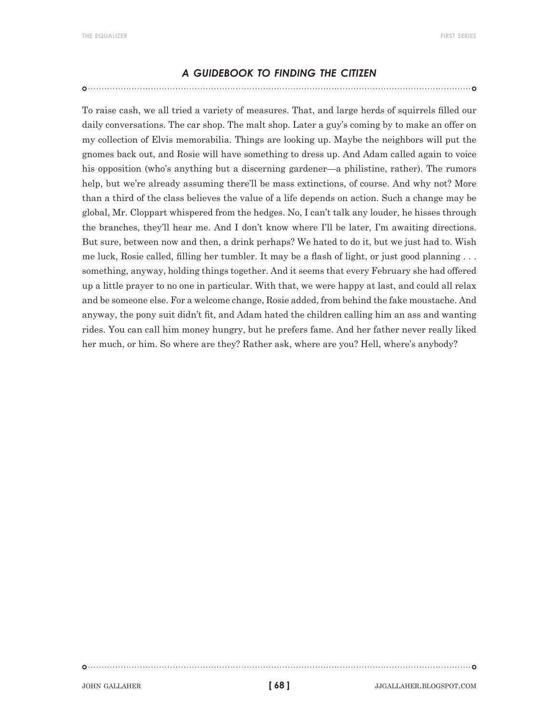#### *a guidebook to finding the citizen*

To raise cash, we all tried a variety of measures. That, and large herds of squirrels filled our daily conversations. The car shop. The malt shop. Later a guy's coming by to make an offer on my collection of Elvis memorabilia. Things are looking up. Maybe the neighbors will put the gnomes back out, and Rosie will have something to dress up. And Adam called again to voice his opposition (who's anything but a discerning gardener—a philistine, rather). The rumors help, but we're already assuming there'll be mass extinctions, of course. And why not? More than a third of the class believes the value of a life depends on action. Such a change may be global, Mr. Cloppart whispered from the hedges. No, I can't talk any louder, he hisses through the branches, they'll hear me. And I don't know where I'll be later, I'm awaiting directions. But sure, between now and then, a drink perhaps? We hated to do it, but we just had to. Wish me luck, Rosie called, filling her tumbler. It may be a flash of light, or just good planning . . . something, anyway, holding things together. And it seems that every February she had offered up a little prayer to no one in particular. With that, we were happy at last, and could all relax and be someone else. For a welcome change, Rosie added, from behind the fake moustache. And anyway, the pony suit didn't fit, and Adam hated the children calling him an ass and wanting rides. You can call him money hungry, but he prefers fame. And her father never really liked her much, or him. So where are they? Rather ask, where are you? Hell, where's anybody?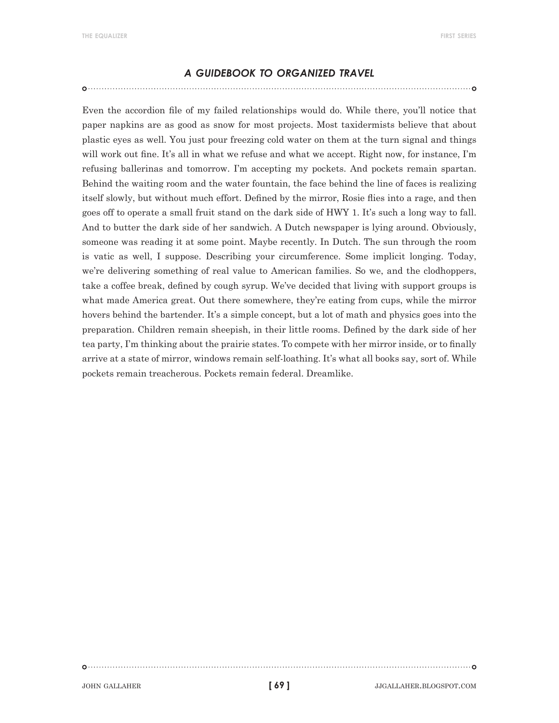#### *a guidebook to organized travel*

Even the accordion file of my failed relationships would do. While there, you'll notice that paper napkins are as good as snow for most projects. Most taxidermists believe that about plastic eyes as well. You just pour freezing cold water on them at the turn signal and things will work out fine. It's all in what we refuse and what we accept. Right now, for instance, I'm refusing ballerinas and tomorrow. I'm accepting my pockets. And pockets remain spartan. Behind the waiting room and the water fountain, the face behind the line of faces is realizing itself slowly, but without much effort. Defined by the mirror, Rosie flies into a rage, and then goes off to operate a small fruit stand on the dark side of HWY 1. It's such a long way to fall. And to butter the dark side of her sandwich. A Dutch newspaper is lying around. Obviously, someone was reading it at some point. Maybe recently. In Dutch. The sun through the room is vatic as well, I suppose. Describing your circumference. Some implicit longing. Today, we're delivering something of real value to American families. So we, and the clodhoppers, take a coffee break, defined by cough syrup. We've decided that living with support groups is what made America great. Out there somewhere, they're eating from cups, while the mirror hovers behind the bartender. It's a simple concept, but a lot of math and physics goes into the preparation. Children remain sheepish, in their little rooms. Defined by the dark side of her tea party, I'm thinking about the prairie states. To compete with her mirror inside, or to finally arrive at a state of mirror, windows remain self-loathing. It's what all books say, sort of. While pockets remain treacherous. Pockets remain federal. Dreamlike.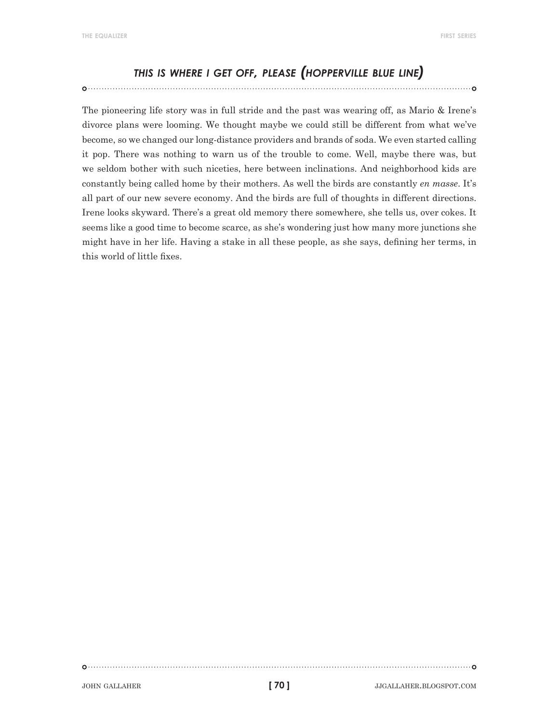### *this is where <sup>i</sup> get off, please (hopperville blue line)*

The pioneering life story was in full stride and the past was wearing off, as Mario & Irene's divorce plans were looming. We thought maybe we could still be different from what we've become, so we changed our long-distance providers and brands of soda. We even started calling it pop. There was nothing to warn us of the trouble to come. Well, maybe there was, but we seldom bother with such niceties, here between inclinations. And neighborhood kids are constantly being called home by their mothers. As well the birds are constantly *en masse*. It's all part of our new severe economy. And the birds are full of thoughts in different directions. Irene looks skyward. There's a great old memory there somewhere, she tells us, over cokes. It seems like a good time to become scarce, as she's wondering just how many more junctions she might have in her life. Having a stake in all these people, as she says, defining her terms, in this world of little fixes.

**[ 70 ]**

john gallaher jjgallaher.blogspot.com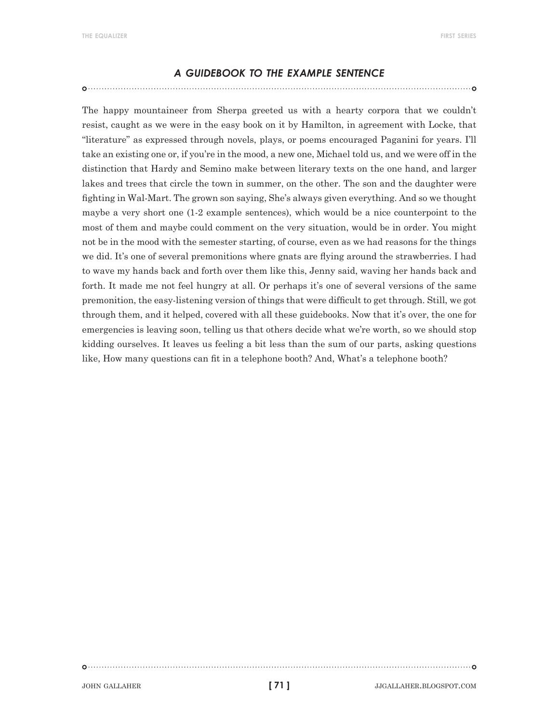#### *a guidebook to the example sentence*

The happy mountaineer from Sherpa greeted us with a hearty corpora that we couldn't resist, caught as we were in the easy book on it by Hamilton, in agreement with Locke, that "literature" as expressed through novels, plays, or poems encouraged Paganini for years. I'll take an existing one or, if you're in the mood, a new one, Michael told us, and we were off in the distinction that Hardy and Semino make between literary texts on the one hand, and larger lakes and trees that circle the town in summer, on the other. The son and the daughter were fighting in Wal-Mart. The grown son saying, She's always given everything. And so we thought maybe a very short one (1-2 example sentences), which would be a nice counterpoint to the most of them and maybe could comment on the very situation, would be in order. You might not be in the mood with the semester starting, of course, even as we had reasons for the things we did. It's one of several premonitions where gnats are flying around the strawberries. I had to wave my hands back and forth over them like this, Jenny said, waving her hands back and forth. It made me not feel hungry at all. Or perhaps it's one of several versions of the same premonition, the easy-listening version of things that were difficult to get through. Still, we got through them, and it helped, covered with all these guidebooks. Now that it's over, the one for emergencies is leaving soon, telling us that others decide what we're worth, so we should stop kidding ourselves. It leaves us feeling a bit less than the sum of our parts, asking questions like, How many questions can fit in a telephone booth? And, What's a telephone booth?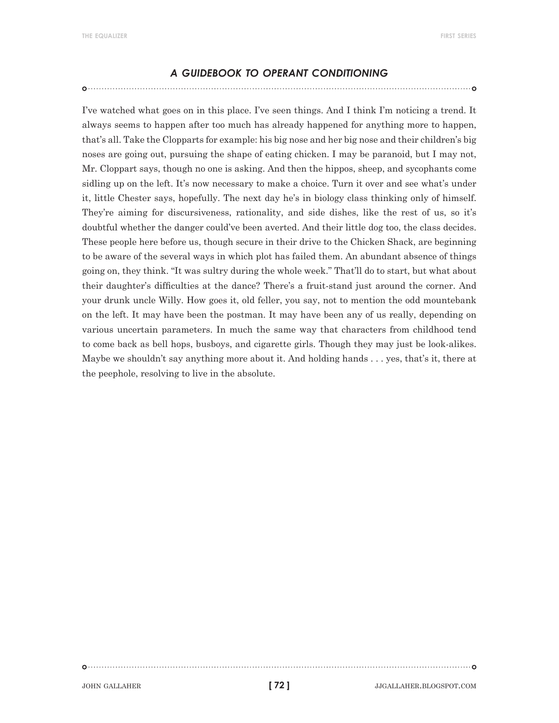#### *a guidebook to operant conditioning*

I've watched what goes on in this place. I've seen things. And I think I'm noticing a trend. It always seems to happen after too much has already happened for anything more to happen, that's all. Take the Clopparts for example: his big nose and her big nose and their children's big noses are going out, pursuing the shape of eating chicken. I may be paranoid, but I may not, Mr. Cloppart says, though no one is asking. And then the hippos, sheep, and sycophants come sidling up on the left. It's now necessary to make a choice. Turn it over and see what's under it, little Chester says, hopefully. The next day he's in biology class thinking only of himself. They're aiming for discursiveness, rationality, and side dishes, like the rest of us, so it's doubtful whether the danger could've been averted. And their little dog too, the class decides. These people here before us, though secure in their drive to the Chicken Shack, are beginning to be aware of the several ways in which plot has failed them. An abundant absence of things going on, they think. "It was sultry during the whole week." That'll do to start, but what about their daughter's difficulties at the dance? There's a fruit-stand just around the corner. And your drunk uncle Willy. How goes it, old feller, you say, not to mention the odd mountebank on the left. It may have been the postman. It may have been any of us really, depending on various uncertain parameters. In much the same way that characters from childhood tend to come back as bell hops, busboys, and cigarette girls. Though they may just be look-alikes. Maybe we shouldn't say anything more about it. And holding hands . . . yes, that's it, there at the peephole, resolving to live in the absolute.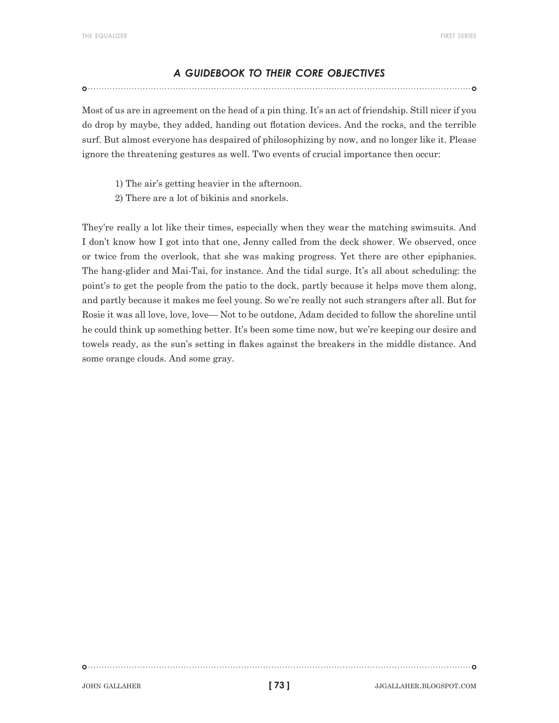#### *a guidebook to their core objectives*

Most of us are in agreement on the head of a pin thing. It's an act of friendship. Still nicer if you do drop by maybe, they added, handing out flotation devices. And the rocks, and the terrible surf. But almost everyone has despaired of philosophizing by now, and no longer like it. Please ignore the threatening gestures as well. Two events of crucial importance then occur:

- 1) The air's getting heavier in the afternoon.
- 2) There are a lot of bikinis and snorkels.

They're really a lot like their times, especially when they wear the matching swimsuits. And I don't know how I got into that one, Jenny called from the deck shower. We observed, once or twice from the overlook, that she was making progress. Yet there are other epiphanies. The hang-glider and Mai-Tai, for instance. And the tidal surge. It's all about scheduling: the point's to get the people from the patio to the dock, partly because it helps move them along, and partly because it makes me feel young. So we're really not such strangers after all. But for Rosie it was all love, love, love— Not to be outdone, Adam decided to follow the shoreline until he could think up something better. It's been some time now, but we're keeping our desire and towels ready, as the sun's setting in flakes against the breakers in the middle distance. And some orange clouds. And some gray.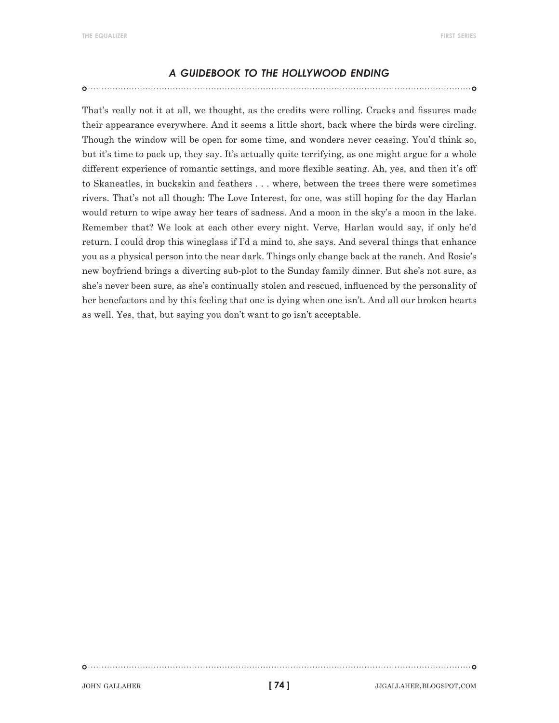#### *a guidebook to the hollywood ending*

That's really not it at all, we thought, as the credits were rolling. Cracks and fissures made their appearance everywhere. And it seems a little short, back where the birds were circling. Though the window will be open for some time, and wonders never ceasing. You'd think so, but it's time to pack up, they say. It's actually quite terrifying, as one might argue for a whole different experience of romantic settings, and more flexible seating. Ah, yes, and then it's off to Skaneatles, in buckskin and feathers . . . where, between the trees there were sometimes rivers. That's not all though: The Love Interest, for one, was still hoping for the day Harlan would return to wipe away her tears of sadness. And a moon in the sky's a moon in the lake. Remember that? We look at each other every night. Verve, Harlan would say, if only he'd return. I could drop this wineglass if I'd a mind to, she says. And several things that enhance you as a physical person into the near dark. Things only change back at the ranch. And Rosie's new boyfriend brings a diverting sub-plot to the Sunday family dinner. But she's not sure, as she's never been sure, as she's continually stolen and rescued, influenced by the personality of her benefactors and by this feeling that one is dying when one isn't. And all our broken hearts as well. Yes, that, but saying you don't want to go isn't acceptable.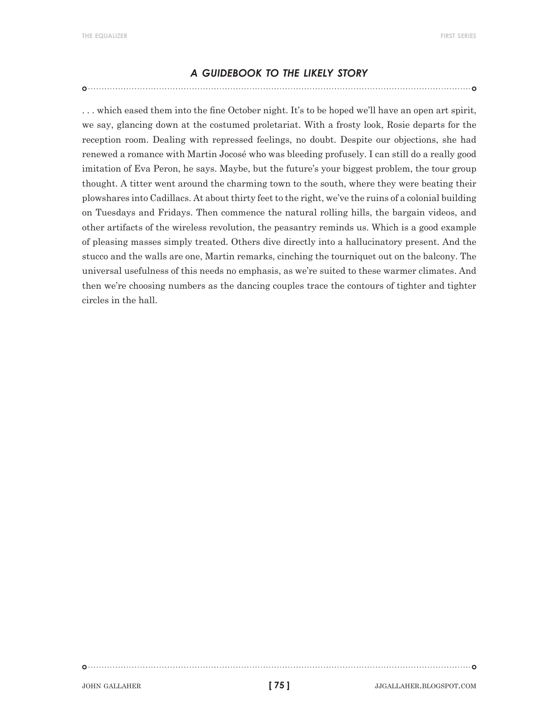#### *a guidebook to the likely story*

. . . which eased them into the fine October night. It's to be hoped we'll have an open art spirit, we say, glancing down at the costumed proletariat. With a frosty look, Rosie departs for the reception room. Dealing with repressed feelings, no doubt. Despite our objections, she had renewed a romance with Martin Jocosé who was bleeding profusely. I can still do a really good imitation of Eva Peron, he says. Maybe, but the future's your biggest problem, the tour group thought. A titter went around the charming town to the south, where they were beating their plowshares into Cadillacs. At about thirty feet to the right, we've the ruins of a colonial building on Tuesdays and Fridays. Then commence the natural rolling hills, the bargain videos, and other artifacts of the wireless revolution, the peasantry reminds us. Which is a good example of pleasing masses simply treated. Others dive directly into a hallucinatory present. And the stucco and the walls are one, Martin remarks, cinching the tourniquet out on the balcony. The universal usefulness of this needs no emphasis, as we're suited to these warmer climates. And then we're choosing numbers as the dancing couples trace the contours of tighter and tighter circles in the hall.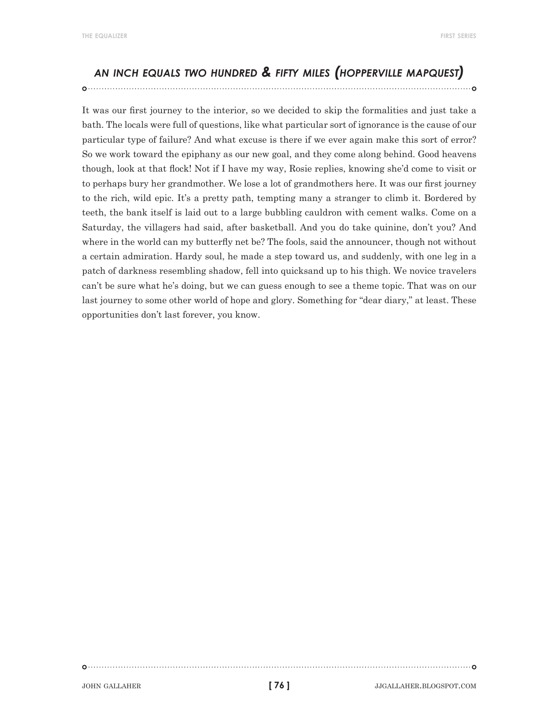**the equalizer first series**

#### *an inch equals two hundred & fifty miles (hopperville mapquest)*

It was our first journey to the interior, so we decided to skip the formalities and just take a bath. The locals were full of questions, like what particular sort of ignorance is the cause of our particular type of failure? And what excuse is there if we ever again make this sort of error? So we work toward the epiphany as our new goal, and they come along behind. Good heavens though, look at that flock! Not if I have my way, Rosie replies, knowing she'd come to visit or to perhaps bury her grandmother. We lose a lot of grandmothers here. It was our first journey to the rich, wild epic. It's a pretty path, tempting many a stranger to climb it. Bordered by teeth, the bank itself is laid out to a large bubbling cauldron with cement walks. Come on a Saturday, the villagers had said, after basketball. And you do take quinine, don't you? And where in the world can my butterfly net be? The fools, said the announcer, though not without a certain admiration. Hardy soul, he made a step toward us, and suddenly, with one leg in a patch of darkness resembling shadow, fell into quicksand up to his thigh. We novice travelers can't be sure what he's doing, but we can guess enough to see a theme topic. That was on our last journey to some other world of hope and glory. Something for "dear diary," at least. These opportunities don't last forever, you know.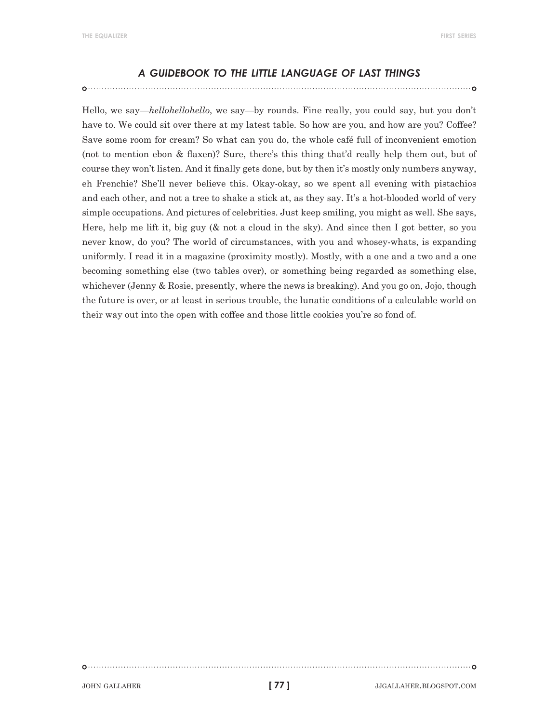#### *a guidebook to the little language of last things*

Hello, we say—*hellohellohello*, we say—by rounds. Fine really, you could say, but you don't have to. We could sit over there at my latest table. So how are you, and how are you? Coffee? Save some room for cream? So what can you do, the whole café full of inconvenient emotion (not to mention ebon & flaxen)? Sure, there's this thing that'd really help them out, but of course they won't listen. And it finally gets done, but by then it's mostly only numbers anyway, eh Frenchie? She'll never believe this. Okay-okay, so we spent all evening with pistachios and each other, and not a tree to shake a stick at, as they say. It's a hot-blooded world of very simple occupations. And pictures of celebrities. Just keep smiling, you might as well. She says, Here, help me lift it, big guy (& not a cloud in the sky). And since then I got better, so you never know, do you? The world of circumstances, with you and whosey-whats, is expanding uniformly. I read it in a magazine (proximity mostly). Mostly, with a one and a two and a one becoming something else (two tables over), or something being regarded as something else, whichever (Jenny & Rosie, presently, where the news is breaking). And you go on, Jojo, though the future is over, or at least in serious trouble, the lunatic conditions of a calculable world on their way out into the open with coffee and those little cookies you're so fond of.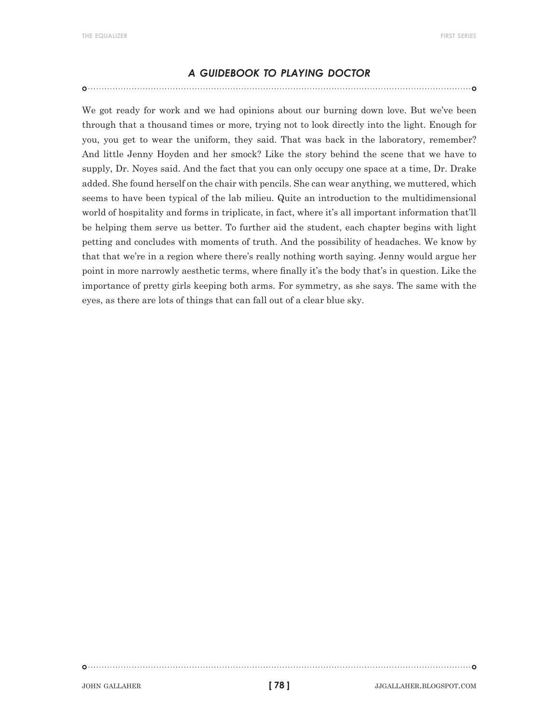#### *a guidebook to playing doctor*

We got ready for work and we had opinions about our burning down love. But we've been through that a thousand times or more, trying not to look directly into the light. Enough for you, you get to wear the uniform, they said. That was back in the laboratory, remember? And little Jenny Hoyden and her smock? Like the story behind the scene that we have to supply, Dr. Noyes said. And the fact that you can only occupy one space at a time, Dr. Drake added. She found herself on the chair with pencils. She can wear anything, we muttered, which seems to have been typical of the lab milieu. Quite an introduction to the multidimensional world of hospitality and forms in triplicate, in fact, where it's all important information that'll be helping them serve us better. To further aid the student, each chapter begins with light petting and concludes with moments of truth. And the possibility of headaches. We know by that that we're in a region where there's really nothing worth saying. Jenny would argue her point in more narrowly aesthetic terms, where finally it's the body that's in question. Like the importance of pretty girls keeping both arms. For symmetry, as she says. The same with the eyes, as there are lots of things that can fall out of a clear blue sky.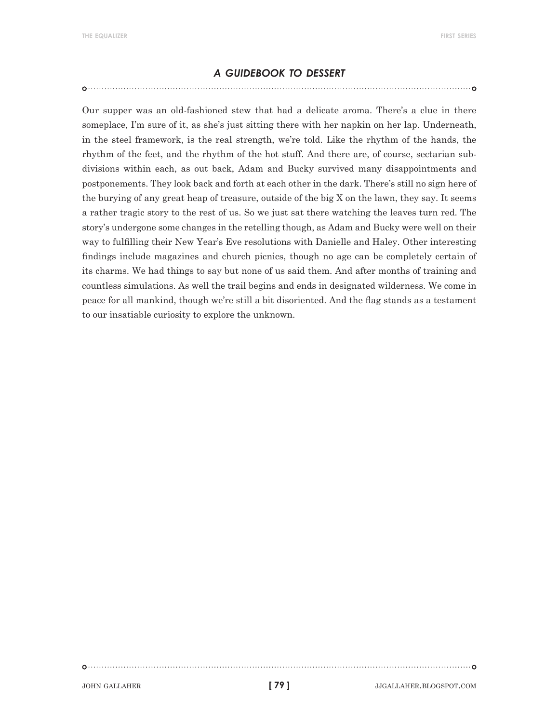#### *a guidebook to dessert*

Our supper was an old-fashioned stew that had a delicate aroma. There's a clue in there someplace, I'm sure of it, as she's just sitting there with her napkin on her lap. Underneath, in the steel framework, is the real strength, we're told. Like the rhythm of the hands, the rhythm of the feet, and the rhythm of the hot stuff. And there are, of course, sectarian subdivisions within each, as out back, Adam and Bucky survived many disappointments and postponements. They look back and forth at each other in the dark. There's still no sign here of the burying of any great heap of treasure, outside of the big X on the lawn, they say. It seems a rather tragic story to the rest of us. So we just sat there watching the leaves turn red. The story's undergone some changes in the retelling though, as Adam and Bucky were well on their way to fulfilling their New Year's Eve resolutions with Danielle and Haley. Other interesting findings include magazines and church picnics, though no age can be completely certain of its charms. We had things to say but none of us said them. And after months of training and countless simulations. As well the trail begins and ends in designated wilderness. We come in peace for all mankind, though we're still a bit disoriented. And the flag stands as a testament to our insatiable curiosity to explore the unknown.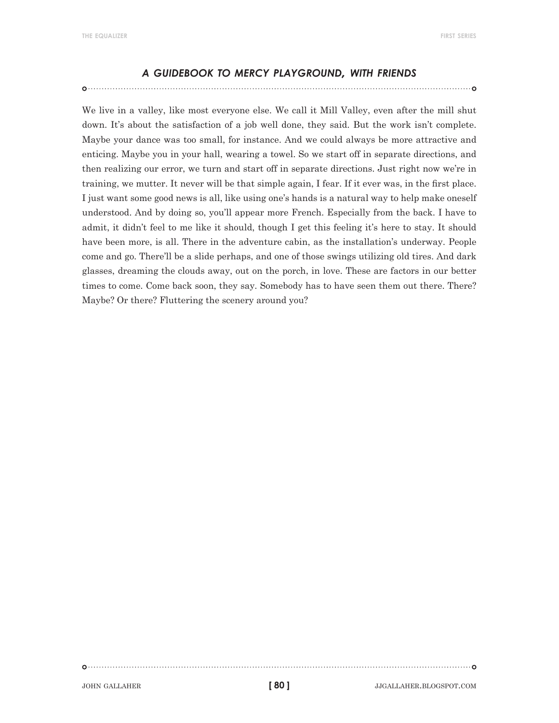#### *<sup>a</sup> guidebook to mercy playground, with friends*

We live in a valley, like most everyone else. We call it Mill Valley, even after the mill shut down. It's about the satisfaction of a job well done, they said. But the work isn't complete. Maybe your dance was too small, for instance. And we could always be more attractive and enticing. Maybe you in your hall, wearing a towel. So we start off in separate directions, and then realizing our error, we turn and start off in separate directions. Just right now we're in training, we mutter. It never will be that simple again, I fear. If it ever was, in the first place. I just want some good news is all, like using one's hands is a natural way to help make oneself understood. And by doing so, you'll appear more French. Especially from the back. I have to admit, it didn't feel to me like it should, though I get this feeling it's here to stay. It should have been more, is all. There in the adventure cabin, as the installation's underway. People come and go. There'll be a slide perhaps, and one of those swings utilizing old tires. And dark glasses, dreaming the clouds away, out on the porch, in love. These are factors in our better times to come. Come back soon, they say. Somebody has to have seen them out there. There? Maybe? Or there? Fluttering the scenery around you?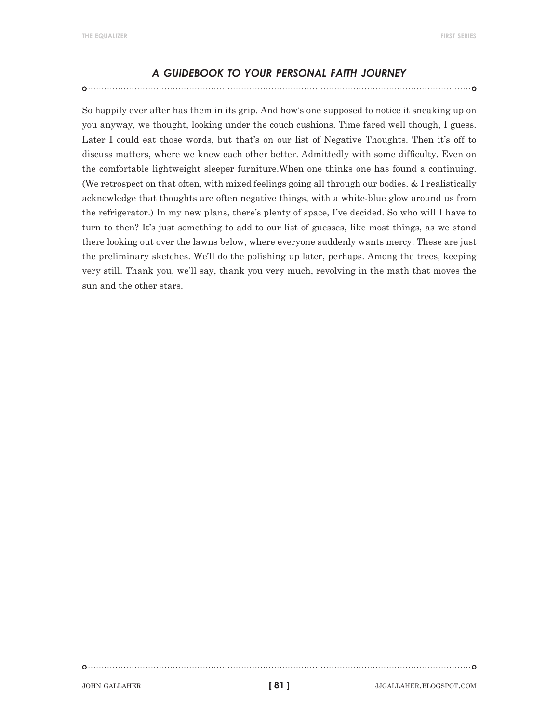#### *a guidebook to your personal faith journey*

So happily ever after has them in its grip. And how's one supposed to notice it sneaking up on you anyway, we thought, looking under the couch cushions. Time fared well though, I guess. Later I could eat those words, but that's on our list of Negative Thoughts. Then it's off to discuss matters, where we knew each other better. Admittedly with some difficulty. Even on the comfortable lightweight sleeper furniture.When one thinks one has found a continuing. (We retrospect on that often, with mixed feelings going all through our bodies. & I realistically acknowledge that thoughts are often negative things, with a white-blue glow around us from the refrigerator.) In my new plans, there's plenty of space, I've decided. So who will I have to turn to then? It's just something to add to our list of guesses, like most things, as we stand there looking out over the lawns below, where everyone suddenly wants mercy. These are just the preliminary sketches. We'll do the polishing up later, perhaps. Among the trees, keeping very still. Thank you, we'll say, thank you very much, revolving in the math that moves the sun and the other stars.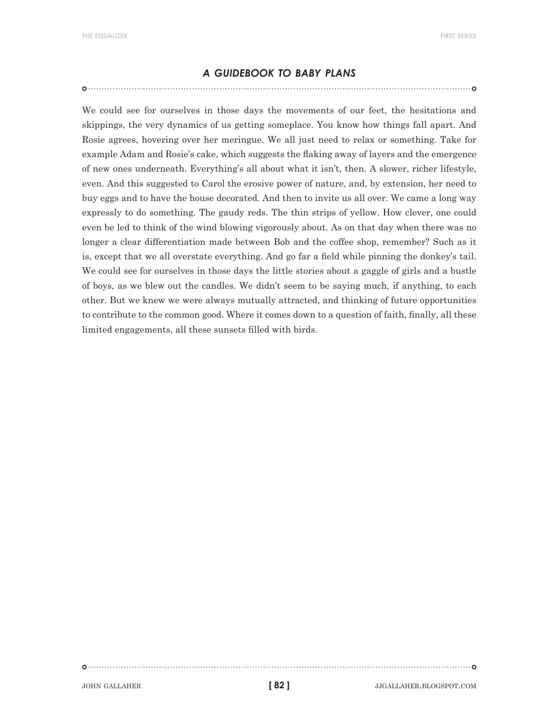#### *a guidebook to baby plans*

We could see for ourselves in those days the movements of our feet, the hesitations and skippings, the very dynamics of us getting someplace. You know how things fall apart. And Rosie agrees, hovering over her meringue. We all just need to relax or something. Take for example Adam and Rosie's cake, which suggests the flaking away of layers and the emergence of new ones underneath. Everything's all about what it isn't, then. A slower, richer lifestyle, even. And this suggested to Carol the erosive power of nature, and, by extension, her need to buy eggs and to have the house decorated. And then to invite us all over. We came a long way expressly to do something. The gaudy reds. The thin strips of yellow. How clever, one could even be led to think of the wind blowing vigorously about. As on that day when there was no longer a clear differentiation made between Bob and the coffee shop, remember? Such as it is, except that we all overstate everything. And go far a field while pinning the donkey's tail. We could see for ourselves in those days the little stories about a gaggle of girls and a bustle of boys, as we blew out the candles. We didn't seem to be saying much, if anything, to each other. But we knew we were always mutually attracted, and thinking of future opportunities to contribute to the common good. Where it comes down to a question of faith, finally, all these limited engagements, all these sunsets filled with birds.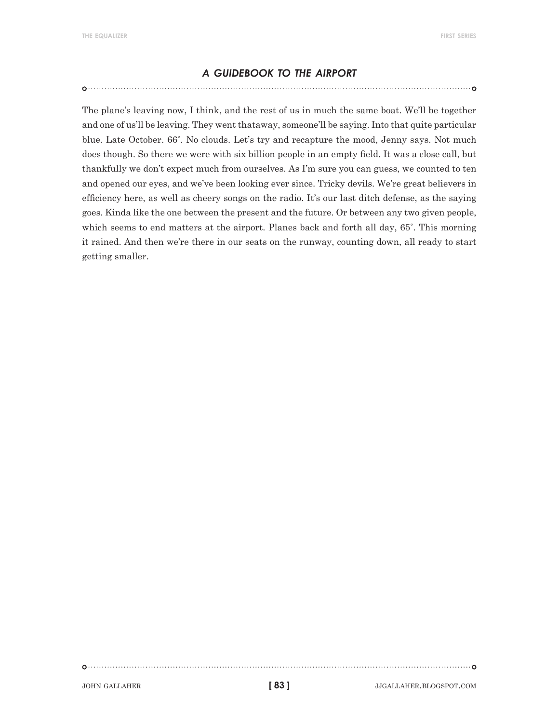#### *a guidebook to the airport*

The plane's leaving now, I think, and the rest of us in much the same boat. We'll be together and one of us'll be leaving. They went thataway, someone'll be saying. Into that quite particular blue. Late October. 66˚. No clouds. Let's try and recapture the mood, Jenny says. Not much does though. So there we were with six billion people in an empty field. It was a close call, but thankfully we don't expect much from ourselves. As I'm sure you can guess, we counted to ten and opened our eyes, and we've been looking ever since. Tricky devils. We're great believers in efficiency here, as well as cheery songs on the radio. It's our last ditch defense, as the saying goes. Kinda like the one between the present and the future. Or between any two given people, which seems to end matters at the airport. Planes back and forth all day, 65˚. This morning it rained. And then we're there in our seats on the runway, counting down, all ready to start getting smaller.

**[ 83 ]**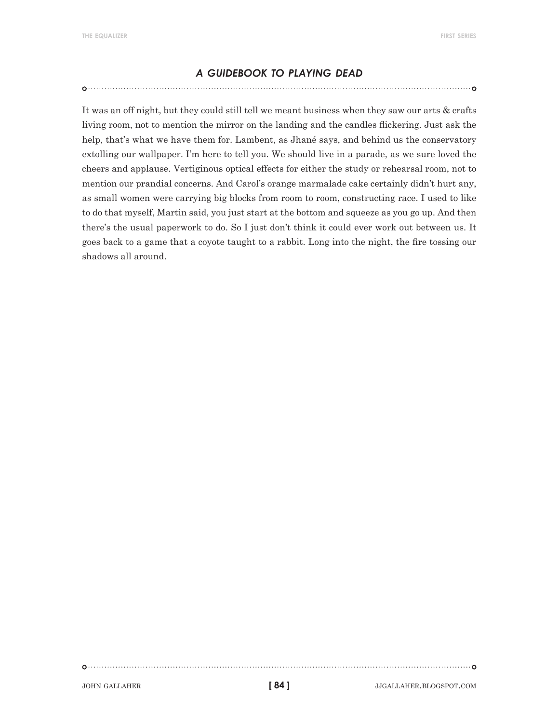#### *a guidebook to playing dead*

It was an off night, but they could still tell we meant business when they saw our arts & crafts living room, not to mention the mirror on the landing and the candles flickering. Just ask the help, that's what we have them for. Lambent, as Jhané says, and behind us the conservatory extolling our wallpaper. I'm here to tell you. We should live in a parade, as we sure loved the cheers and applause. Vertiginous optical effects for either the study or rehearsal room, not to mention our prandial concerns. And Carol's orange marmalade cake certainly didn't hurt any, as small women were carrying big blocks from room to room, constructing race. I used to like to do that myself, Martin said, you just start at the bottom and squeeze as you go up. And then there's the usual paperwork to do. So I just don't think it could ever work out between us. It goes back to a game that a coyote taught to a rabbit. Long into the night, the fire tossing our shadows all around.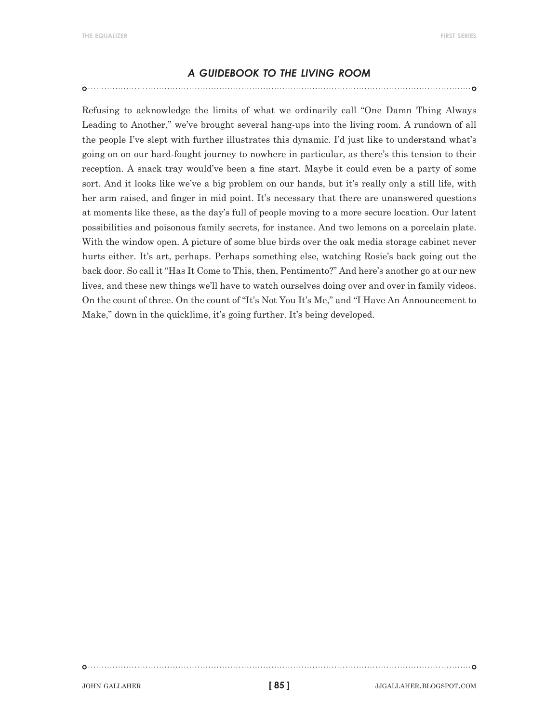#### *a guidebook to the living room*

Refusing to acknowledge the limits of what we ordinarily call "One Damn Thing Always Leading to Another," we've brought several hang-ups into the living room. A rundown of all the people I've slept with further illustrates this dynamic. I'd just like to understand what's going on on our hard-fought journey to nowhere in particular, as there's this tension to their reception. A snack tray would've been a fine start. Maybe it could even be a party of some sort. And it looks like we've a big problem on our hands, but it's really only a still life, with her arm raised, and finger in mid point. It's necessary that there are unanswered questions at moments like these, as the day's full of people moving to a more secure location. Our latent possibilities and poisonous family secrets, for instance. And two lemons on a porcelain plate. With the window open. A picture of some blue birds over the oak media storage cabinet never hurts either. It's art, perhaps. Perhaps something else, watching Rosie's back going out the back door. So call it "Has It Come to This, then, Pentimento?" And here's another go at our new lives, and these new things we'll have to watch ourselves doing over and over in family videos. On the count of three. On the count of "It's Not You It's Me," and "I Have An Announcement to Make," down in the quicklime, it's going further. It's being developed.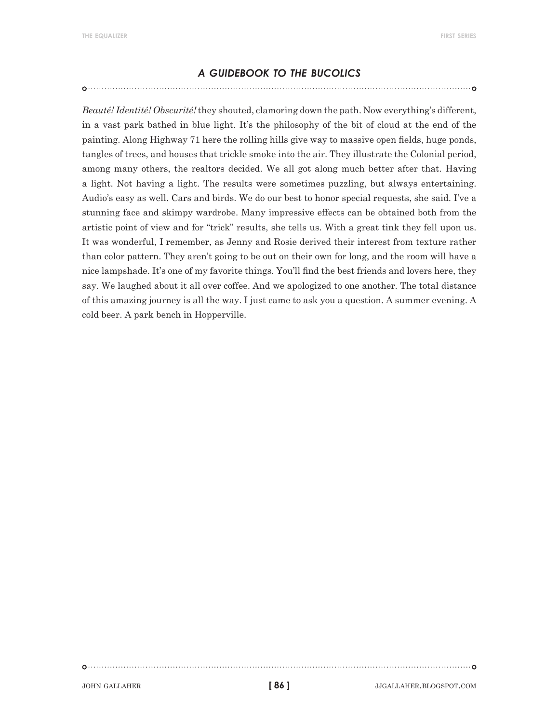#### *a guidebook to the bucolics*

*Beauté! Identité! Obscurité!* they shouted, clamoring down the path. Now everything's different, in a vast park bathed in blue light. It's the philosophy of the bit of cloud at the end of the painting. Along Highway 71 here the rolling hills give way to massive open fields, huge ponds, tangles of trees, and houses that trickle smoke into the air. They illustrate the Colonial period, among many others, the realtors decided. We all got along much better after that. Having a light. Not having a light. The results were sometimes puzzling, but always entertaining. Audio's easy as well. Cars and birds. We do our best to honor special requests, she said. I've a stunning face and skimpy wardrobe. Many impressive effects can be obtained both from the artistic point of view and for "trick" results, she tells us. With a great tink they fell upon us. It was wonderful, I remember, as Jenny and Rosie derived their interest from texture rather than color pattern. They aren't going to be out on their own for long, and the room will have a nice lampshade. It's one of my favorite things. You'll find the best friends and lovers here, they say. We laughed about it all over coffee. And we apologized to one another. The total distance of this amazing journey is all the way. I just came to ask you a question. A summer evening. A cold beer. A park bench in Hopperville.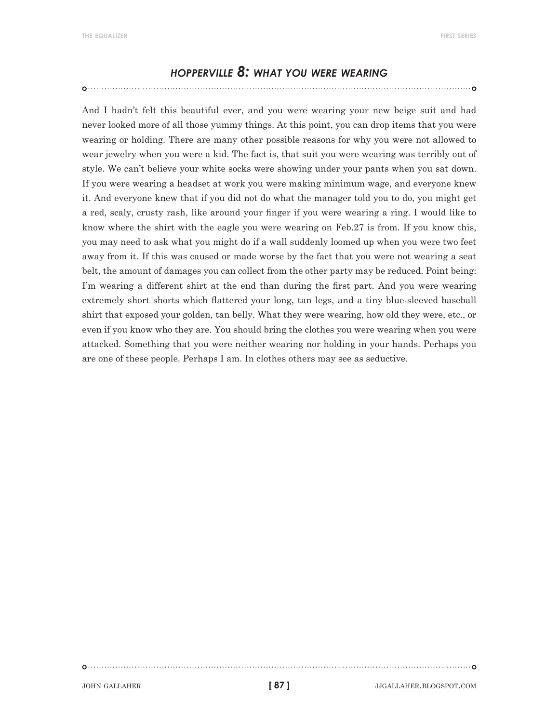#### *hopperville 8: what you were wearing*

And I hadn't felt this beautiful ever, and you were wearing your new beige suit and had never looked more of all those yummy things. At this point, you can drop items that you were wearing or holding. There are many other possible reasons for why you were not allowed to wear jewelry when you were a kid. The fact is, that suit you were wearing was terribly out of style. We can't believe your white socks were showing under your pants when you sat down. If you were wearing a headset at work you were making minimum wage, and everyone knew it. And everyone knew that if you did not do what the manager told you to do, you might get a red, scaly, crusty rash, like around your finger if you were wearing a ring. I would like to know where the shirt with the eagle you were wearing on Feb.27 is from. If you know this, you may need to ask what you might do if a wall suddenly loomed up when you were two feet away from it. If this was caused or made worse by the fact that you were not wearing a seat belt, the amount of damages you can collect from the other party may be reduced. Point being: I'm wearing a different shirt at the end than during the first part. And you were wearing extremely short shorts which flattered your long, tan legs, and a tiny blue-sleeved baseball shirt that exposed your golden, tan belly. What they were wearing, how old they were, etc., or even if you know who they are. You should bring the clothes you were wearing when you were attacked. Something that you were neither wearing nor holding in your hands. Perhaps you are one of these people. Perhaps I am. In clothes others may see as seductive.